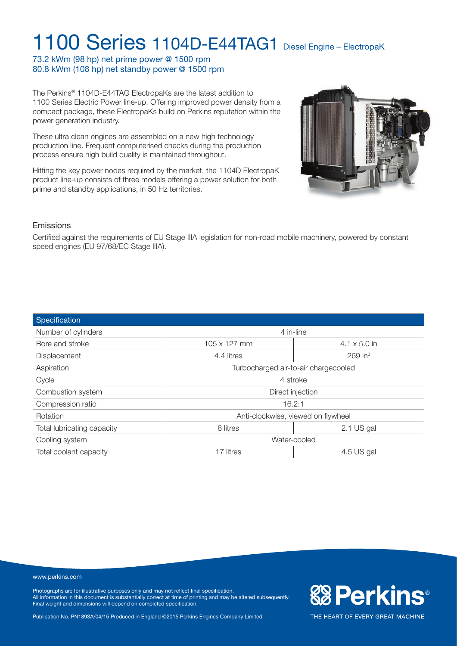73.2 kWm (98 hp) net prime power @ 1500 rpm 80.8 kWm (108 hp) net standby power @ 1500 rpm

The Perkins® 1104D-E44TAG ElectropaKs are the latest addition to 1100 Series Electric Power line-up. Offering improved power density from a compact package, these ElectropaKs build on Perkins reputation within the power generation industry.

These ultra clean engines are assembled on a new high technology production line. Frequent computerised checks during the production process ensure high build quality is maintained throughout.

Hitting the key power nodes required by the market, the 1104D ElectropaK product line-up consists of three models offering a power solution for both prime and standby applications, in 50 Hz territories.



**& Perkins®** 

THE HEART OF EVERY GREAT MACHINE

#### Emissions

Certified against the requirements of EU Stage IIIA legislation for non-road mobile machinery, powered by constant speed engines (EU 97/68/EC Stage IIIA).

| Specification              |                                      |                       |  |
|----------------------------|--------------------------------------|-----------------------|--|
| Number of cylinders        | 4 in-line                            |                       |  |
| Bore and stroke            | 105 x 127 mm                         | $4.1 \times 5.0$ in   |  |
| Displacement               | 4.4 litres                           | $269$ in <sup>3</sup> |  |
| Aspiration                 | Turbocharged air-to-air chargecooled |                       |  |
| Cycle                      | 4 stroke                             |                       |  |
| Combustion system          | Direct injection                     |                       |  |
| Compression ratio          | 16.2:1                               |                       |  |
| Rotation                   | Anti-clockwise, viewed on flywheel   |                       |  |
| Total lubricating capacity | 8 litres                             | 2.1 US gal            |  |
| Cooling system             | Water-cooled                         |                       |  |
| Total coolant capacity     | 17 litres                            | 4.5 US gal            |  |

#### www.perkins.com

Photographs are for illustrative purposes only and may not reflect final specification. All information in this document is substantially correct at time of printing and may be altered subsequently. Final weight and dimensions will depend on completed specification.

Publication No. PN1893A/04/15 Produced in England ©2015 Perkins Engines Company Limited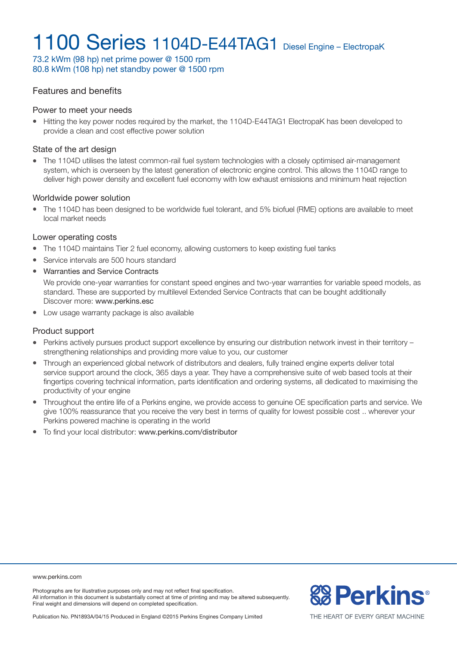73.2 kWm (98 hp) net prime power @ 1500 rpm 80.8 kWm (108 hp) net standby power @ 1500 rpm

#### Features and benefits

#### Power to meet your needs

• Hitting the key power nodes required by the market, the 1104D-E44TAG1 ElectropaK has been developed to provide a clean and cost effective power solution

#### State of the art design

• The 1104D utilises the latest common-rail fuel system technologies with a closely optimised air-management system, which is overseen by the latest generation of electronic engine control. This allows the 1104D range to deliver high power density and excellent fuel economy with low exhaust emissions and minimum heat rejection

#### Worldwide power solution

<sup>l</sup> The 1104D has been designed to be worldwide fuel tolerant, and 5% biofuel (RME) options are available to meet local market needs

#### Lower operating costs

- The 1104D maintains Tier 2 fuel economy, allowing customers to keep existing fuel tanks
- Service intervals are 500 hours standard
- Warranties and Service Contracts

We provide one-year warranties for constant speed engines and two-year warranties for variable speed models, as standard. These are supported by multilevel Extended Service Contracts that can be bought additionally Discover more: www.perkins.esc

• Low usage warranty package is also available

#### Product support

- Perkins actively pursues product support excellence by ensuring our distribution network invest in their territory strengthening relationships and providing more value to you, our customer
- Through an experienced global network of distributors and dealers, fully trained engine experts deliver total service support around the clock, 365 days a year. They have a comprehensive suite of web based tools at their fingertips covering technical information, parts identification and ordering systems, all dedicated to maximising the productivity of your engine
- Throughout the entire life of a Perkins engine, we provide access to genuine OE specification parts and service. We give 100% reassurance that you receive the very best in terms of quality for lowest possible cost .. wherever your Perkins powered machine is operating in the world
- $\bullet$  To find your local distributor: www.perkins.com/distributor

www.perkins.com

Photographs are for illustrative purposes only and may not reflect final specification. All information in this document is substantially correct at time of printing and may be altered subsequently. Final weight and dimensions will depend on completed specification.



Publication No. PN1893A/04/15 Produced in England ©2015 Perkins Engines Company Limited

THE HEART OF EVERY GREAT MACHINE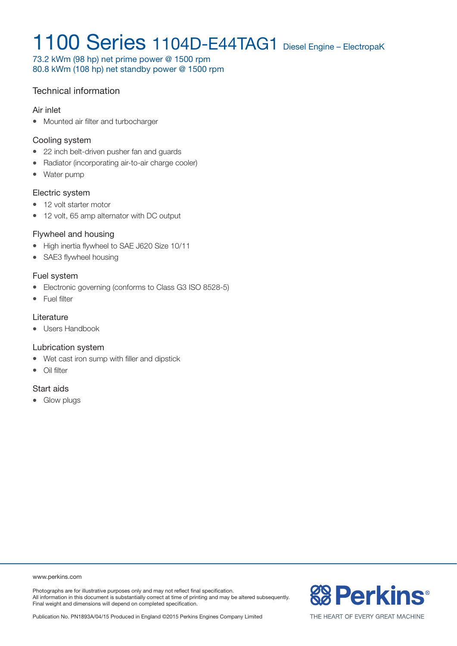73.2 kWm (98 hp) net prime power @ 1500 rpm 80.8 kWm (108 hp) net standby power @ 1500 rpm

### Technical information

#### Air inlet

• Mounted air filter and turbocharger

#### Cooling system

- 22 inch belt-driven pusher fan and guards
- Radiator (incorporating air-to-air charge cooler)
- Water pump

#### Electric system

- 12 volt starter motor
- 12 volt, 65 amp alternator with DC output

#### Flywheel and housing

- High inertia flywheel to SAE J620 Size 10/11
- SAE3 flywheel housing

#### Fuel system

- Electronic governing (conforms to Class G3 ISO 8528-5)
- Fuel filter

#### **Literature**

• Users Handbook

#### Lubrication system

- Wet cast iron sump with filler and dipstick
- $\bullet$  Oil filter

#### Start aids

• Glow plugs

www.perkins.com

Photographs are for illustrative purposes only and may not reflect final specification. All information in this document is substantially correct at time of printing and may be altered subsequently. Final weight and dimensions will depend on completed specification.



THE HEART OF EVERY GREAT MACHINE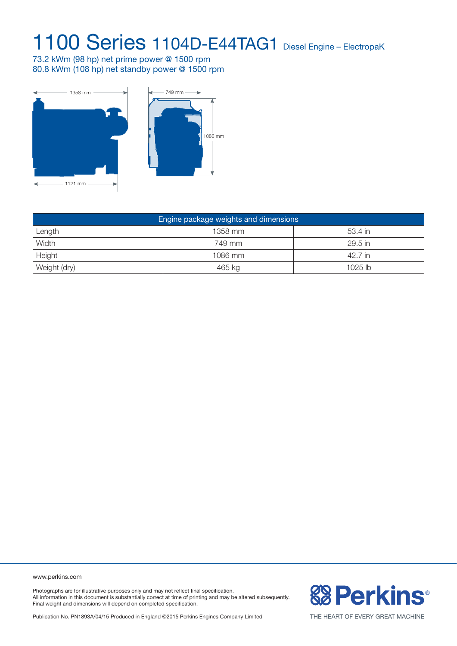73.2 kWm (98 hp) net prime power @ 1500 rpm 80.8 kWm (108 hp) net standby power @ 1500 rpm



| Engine package weights and dimensions |         |           |  |  |  |
|---------------------------------------|---------|-----------|--|--|--|
| Length                                | 1358 mm | 53.4 in   |  |  |  |
| Width                                 | 749 mm  | 29.5 in   |  |  |  |
| Height                                | 1086 mm | 42.7 in   |  |  |  |
| Weight (dry)                          | 465 kg  | $1025$ lb |  |  |  |

www.perkins.com

Photographs are for illustrative purposes only and may not reflect final specification. All information in this document is substantially correct at time of printing and may be altered subsequently. Final weight and dimensions will depend on completed specification.

**& Perkins®** 

Publication No. PN1893A/04/15 Produced in England ©2015 Perkins Engines Company Limited

THE HEART OF EVERY GREAT MACHINE